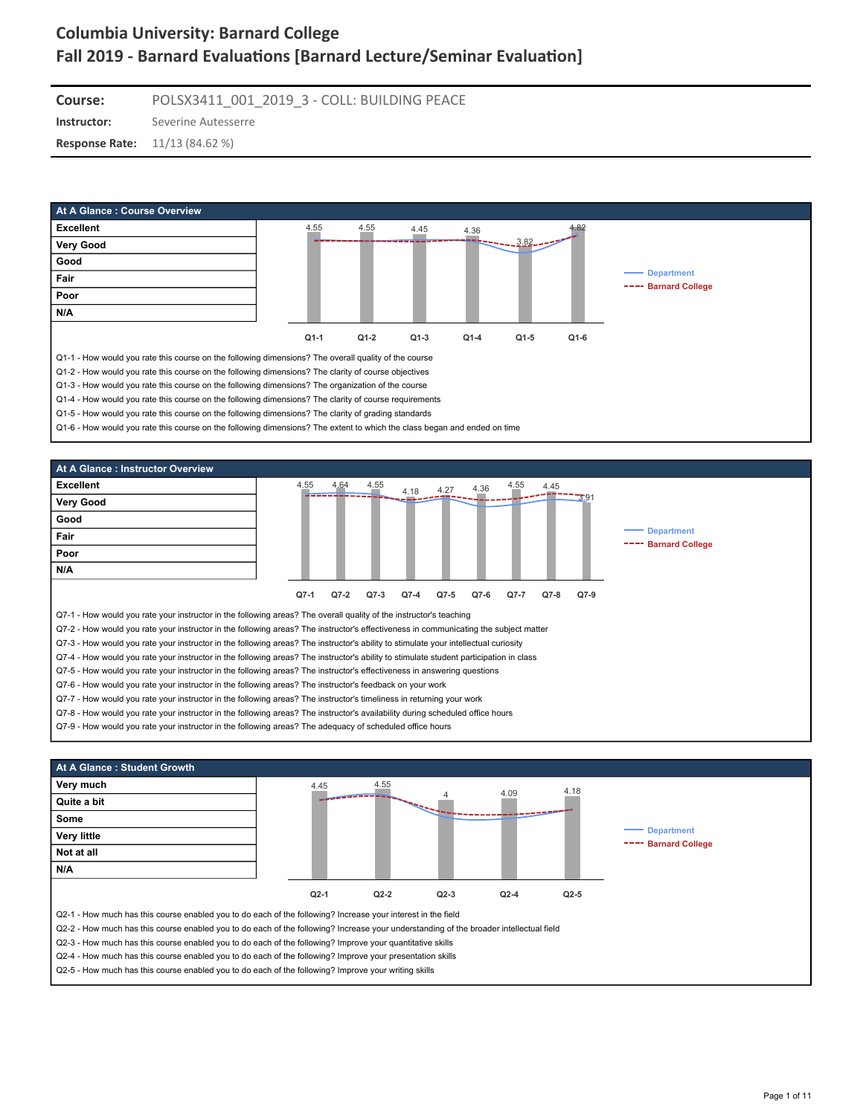**Course:** POLSX3411\_001\_2019\_3 - COLL: BUILDING PEACE

**Instructor:** Severine Autesserre

**Response Rate:** 11/13 (84.62 %)





Q7-9 - How would you rate your instructor in the following areas? The adequacy of scheduled office hours



Q2-5 - How much has this course enabled you to do each of the following? Improve your writing skills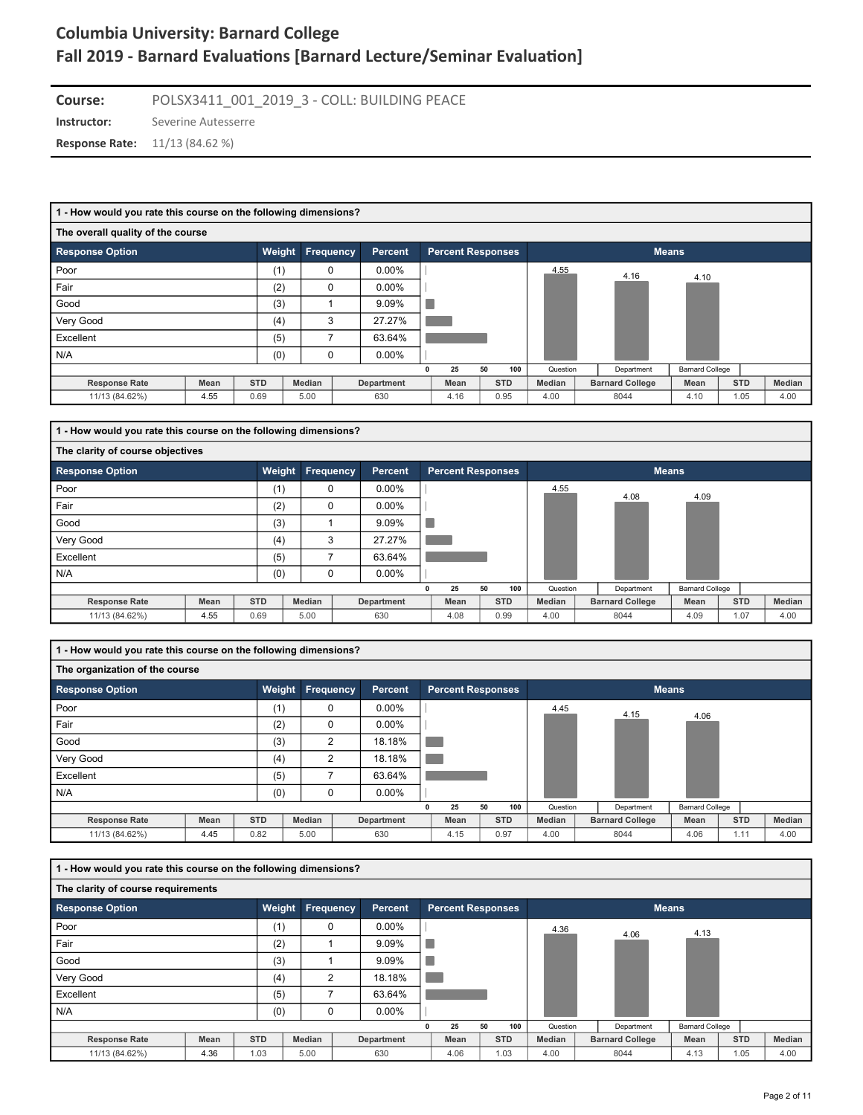**Instructor:** Severine Autesserre **Course:** POLSX3411\_001\_2019\_3 - COLL: BUILDING PEACE

**Response Rate:** 11/13 (84.62 %)

| 1 - How would you rate this course on the following dimensions? |                      |            |           |   |                   |  |                          |    |            |          |  |                        |                        |            |  |        |
|-----------------------------------------------------------------|----------------------|------------|-----------|---|-------------------|--|--------------------------|----|------------|----------|--|------------------------|------------------------|------------|--|--------|
| The overall quality of the course                               |                      |            |           |   |                   |  |                          |    |            |          |  |                        |                        |            |  |        |
| <b>Response Option</b>                                          |                      | Weight     | Frequency |   | <b>Percent</b>    |  | <b>Percent Responses</b> |    |            |          |  |                        | <b>Means</b>           |            |  |        |
| Poor                                                            |                      | (1)        |           | 0 | $0.00\%$          |  |                          |    |            | 4.55     |  | 4.16                   | 4.10                   |            |  |        |
| Fair                                                            | (2)<br>$0.00\%$<br>0 |            |           |   |                   |  |                          |    |            |          |  |                        |                        |            |  |        |
| Good                                                            | (3)<br>9.09%         |            |           |   |                   |  |                          |    |            |          |  |                        |                        |            |  |        |
| Very Good                                                       |                      | (4)        |           | 3 | 27.27%            |  |                          |    |            |          |  |                        |                        |            |  |        |
| Excellent                                                       |                      | (5)        |           | 7 | 63.64%            |  |                          |    |            |          |  |                        |                        |            |  |        |
| N/A                                                             |                      | (0)        |           | 0 | $0.00\%$          |  |                          |    |            |          |  |                        |                        |            |  |        |
|                                                                 |                      |            |           |   |                   |  | 25                       | 50 | 100        | Question |  | Department             | <b>Barnard College</b> |            |  |        |
| <b>Response Rate</b>                                            | Mean                 | <b>STD</b> | Median    |   | <b>Department</b> |  | Mean                     |    | <b>STD</b> | Median   |  | <b>Barnard College</b> | Mean                   | <b>STD</b> |  | Median |
| 11/13 (84.62%)                                                  | 4.55                 | 0.69       | 5.00      |   | 630               |  | 4.16                     |    | 0.95       | 4.00     |  | 8044                   | 4.10                   | 1.05       |  | 4.00   |

| 1 - How would you rate this course on the following dimensions? |      |            |           |                |   |                          |    |            |          |                        |                        |            |        |
|-----------------------------------------------------------------|------|------------|-----------|----------------|---|--------------------------|----|------------|----------|------------------------|------------------------|------------|--------|
| The clarity of course objectives                                |      |            |           |                |   |                          |    |            |          |                        |                        |            |        |
| <b>Response Option</b>                                          |      | Weight     | Frequency | <b>Percent</b> |   | <b>Percent Responses</b> |    |            |          |                        | <b>Means</b>           |            |        |
| Poor                                                            |      | (1)        | 0         | $0.00\%$       |   |                          |    |            | 4.55     | 4.08                   | 4.09                   |            |        |
| Fair                                                            |      | (2)        | 0         | $0.00\%$       |   |                          |    |            |          |                        |                        |            |        |
| Good                                                            |      | (3)        |           | 9.09%          |   |                          |    |            |          |                        |                        |            |        |
| Very Good                                                       |      | (4)        | 3         | 27.27%         |   |                          |    |            |          |                        |                        |            |        |
| Excellent                                                       |      | (5)        |           | 63.64%         |   |                          |    |            |          |                        |                        |            |        |
| N/A                                                             |      | (0)        | 0         | $0.00\%$       |   |                          |    |            |          |                        |                        |            |        |
|                                                                 |      |            |           |                | 0 | 25                       | 50 | 100        | Question | Department             | <b>Barnard College</b> |            |        |
| <b>Response Rate</b>                                            | Mean | <b>STD</b> | Median    | Department     |   | Mean                     |    | <b>STD</b> | Median   | <b>Barnard College</b> | Mean                   | <b>STD</b> | Median |
| 11/13 (84.62%)                                                  | 4.55 | 0.69       | 5.00      | 630            |   | 4.08                     |    | 0.99       | 4.00     | 8044                   | 4.09                   | 1.07       | 4.00   |

**1 - How would you rate this course on the following dimensions?**

| The organization of the course |             |            |                  |                |   |                          |    |            |          |                        |                        |            |        |
|--------------------------------|-------------|------------|------------------|----------------|---|--------------------------|----|------------|----------|------------------------|------------------------|------------|--------|
| <b>Response Option</b>         |             | Weight     | <b>Frequency</b> | <b>Percent</b> |   | <b>Percent Responses</b> |    |            |          |                        | <b>Means</b>           |            |        |
| Poor                           |             | (1)        | $\mathbf 0$      | $0.00\%$       |   |                          |    |            | 4.45     | 4.15                   | 4.06                   |            |        |
| Fair                           |             | (2)        | 0                | $0.00\%$       |   |                          |    |            |          |                        |                        |            |        |
| Good                           |             | (3)        | $\overline{2}$   | 18.18%         |   |                          |    |            |          |                        |                        |            |        |
| Very Good                      |             | (4)        | $\overline{2}$   | 18.18%         |   |                          |    |            |          |                        |                        |            |        |
| Excellent                      |             | (5)        |                  | 63.64%         |   |                          |    |            |          |                        |                        |            |        |
| N/A                            |             | (0)        | 0                | $0.00\%$       |   |                          |    |            |          |                        |                        |            |        |
|                                |             |            |                  |                | 0 | 25                       | 50 | 100        | Question | Department             | <b>Barnard College</b> |            |        |
| <b>Response Rate</b>           | <b>Mean</b> | <b>STD</b> | Median           | Department     |   | Mean                     |    | <b>STD</b> | Median   | <b>Barnard College</b> | Mean                   | <b>STD</b> | Median |
| 11/13 (84.62%)                 | 4.45        | 0.82       | 5.00             | 630            |   | 4.15                     |    | 0.97       | 4.00     | 8044                   | 4.06                   | 1.11       | 4.00   |

| 1 - How would you rate this course on the following dimensions? |             |            |                         |                |                          |    |            |               |                        |                        |            |        |
|-----------------------------------------------------------------|-------------|------------|-------------------------|----------------|--------------------------|----|------------|---------------|------------------------|------------------------|------------|--------|
| The clarity of course requirements                              |             |            |                         |                |                          |    |            |               |                        |                        |            |        |
| <b>Response Option</b>                                          |             |            | <b>Weight Frequency</b> | <b>Percent</b> | <b>Percent Responses</b> |    |            |               |                        | <b>Means</b>           |            |        |
| Poor                                                            |             | (1)        | $\mathbf 0$             | $0.00\%$       |                          |    |            | 4.36          | 4.06                   | 4.13                   |            |        |
| Fair                                                            |             | (2)        |                         | 9.09%          |                          |    |            |               |                        |                        |            |        |
| Good                                                            |             | (3)        |                         | 9.09%          |                          |    |            |               |                        |                        |            |        |
| Very Good                                                       |             | (4)        | 2                       | 18.18%         |                          |    |            |               |                        |                        |            |        |
| Excellent                                                       |             | (5)        |                         | 63.64%         |                          |    |            |               |                        |                        |            |        |
| N/A                                                             |             | (0)        | $\Omega$                | $0.00\%$       |                          |    |            |               |                        |                        |            |        |
|                                                                 |             |            |                         |                | 25                       | 50 | 100        | Question      | Department             | <b>Barnard College</b> |            |        |
| <b>Response Rate</b>                                            | <b>Mean</b> | <b>STD</b> | Median                  | Department     | Mean                     |    | <b>STD</b> | <b>Median</b> | <b>Barnard College</b> | Mean                   | <b>STD</b> | Median |
| 11/13 (84.62%)                                                  | 4.36        | 1.03       | 5.00                    | 630            | 4.06                     |    | 1.03       | 4.00          | 8044                   | 4.13                   | 1.05       | 4.00   |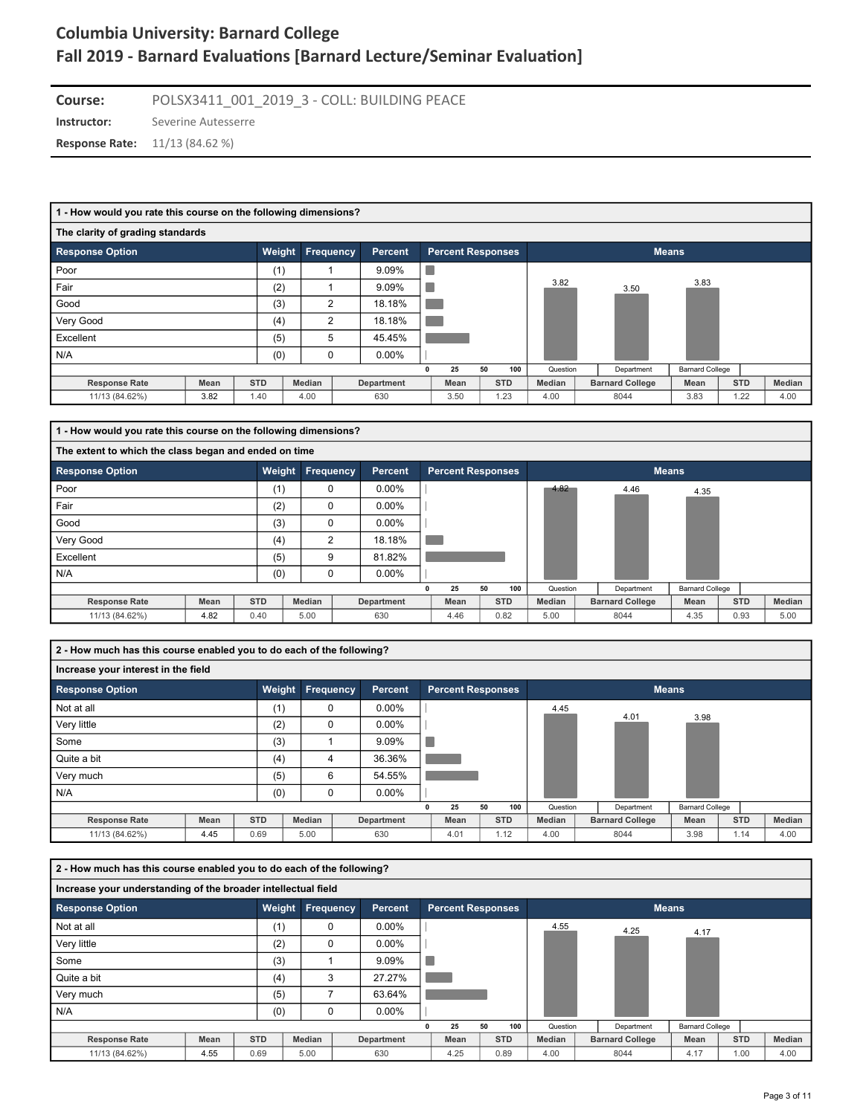**Instructor:** Severine Autesserre **Course:** POLSX3411\_001\_2019\_3 - COLL: BUILDING PEACE

**Response Rate:** 11/13 (84.62 %)

| 1 - How would you rate this course on the following dimensions? |                                       |            |               |  |                |   |                          |    |            |          |  |                        |                        |            |        |
|-----------------------------------------------------------------|---------------------------------------|------------|---------------|--|----------------|---|--------------------------|----|------------|----------|--|------------------------|------------------------|------------|--------|
| The clarity of grading standards                                |                                       |            |               |  |                |   |                          |    |            |          |  |                        |                        |            |        |
| <b>Response Option</b>                                          |                                       | Weight     | Frequency     |  | <b>Percent</b> |   | <b>Percent Responses</b> |    |            |          |  |                        | <b>Means</b>           |            |        |
| Poor                                                            | 9.09%<br>(1)<br>3.83<br>3.82<br>9.09% |            |               |  |                |   |                          |    |            |          |  |                        |                        |            |        |
| Fair                                                            | (2)<br>3.50                           |            |               |  |                |   |                          |    |            |          |  |                        |                        |            |        |
| Good                                                            | 18.18%<br>(3)<br>2                    |            |               |  |                |   |                          |    |            |          |  |                        |                        |            |        |
| Very Good                                                       |                                       | (4)        | 2             |  | 18.18%         |   |                          |    |            |          |  |                        |                        |            |        |
| Excellent                                                       |                                       | (5)        | 5             |  | 45.45%         |   |                          |    |            |          |  |                        |                        |            |        |
| N/A                                                             |                                       | (0)        | 0             |  | $0.00\%$       |   |                          |    |            |          |  |                        |                        |            |        |
|                                                                 |                                       |            |               |  |                | n | 25                       | 50 | 100        | Question |  | Department             | <b>Barnard College</b> |            |        |
| <b>Response Rate</b>                                            | Mean                                  | <b>STD</b> | <b>Median</b> |  | Department     |   | Mean                     |    | <b>STD</b> | Median   |  | <b>Barnard College</b> | Mean                   | <b>STD</b> | Median |
| 11/13 (84.62%)                                                  | 3.82                                  | 1.40       | 4.00          |  | 630            |   | 3.50                     |    | 1.23       | 4.00     |  | 8044                   | 3.83                   | 1.22       | 4.00   |

| 1 - How would you rate this course on the following dimensions? |      |            |           |                |                          |    |            |          |                        |                        |            |        |
|-----------------------------------------------------------------|------|------------|-----------|----------------|--------------------------|----|------------|----------|------------------------|------------------------|------------|--------|
| The extent to which the class began and ended on time           |      |            |           |                |                          |    |            |          |                        |                        |            |        |
| <b>Response Option</b>                                          |      | Weight     | Frequency | <b>Percent</b> | <b>Percent Responses</b> |    |            |          |                        | <b>Means</b>           |            |        |
| Poor                                                            |      | (1)        | $\Omega$  | $0.00\%$       |                          |    |            | 4.82     | 4.46                   | 4.35                   |            |        |
| Fair                                                            |      | (2)        | $\Omega$  | $0.00\%$       |                          |    |            |          |                        |                        |            |        |
| Good                                                            |      | (3)        | $\Omega$  | $0.00\%$       |                          |    |            |          |                        |                        |            |        |
| Very Good                                                       |      | (4)        | 2         | 18.18%         |                          |    |            |          |                        |                        |            |        |
| Excellent                                                       |      | (5)        | 9         | 81.82%         |                          |    |            |          |                        |                        |            |        |
| N/A                                                             |      | (0)        | $\Omega$  | $0.00\%$       |                          |    |            |          |                        |                        |            |        |
|                                                                 |      |            |           |                | 25                       | 50 | 100        | Question | Department             | <b>Barnard College</b> |            |        |
| <b>Response Rate</b>                                            | Mean | <b>STD</b> | Median    | Department     | Mean                     |    | <b>STD</b> | Median   | <b>Barnard College</b> | Mean                   | <b>STD</b> | Median |
| 11/13 (84.62%)                                                  | 4.82 | 0.40       | 5.00      | 630            | 4.46                     |    | 0.82       | 5.00     | 8044                   | 4.35                   | 0.93       | 5.00   |

**2 - How much has this course enabled you to do each of the following?**

| Increase your interest in the field |      |               |           |            |   |                          |    |            |               |                        |                        |            |        |
|-------------------------------------|------|---------------|-----------|------------|---|--------------------------|----|------------|---------------|------------------------|------------------------|------------|--------|
| <b>Response Option</b>              |      | <b>Weight</b> | Frequency | Percent    |   | <b>Percent Responses</b> |    |            |               |                        | <b>Means</b>           |            |        |
| Not at all                          |      | (1)           | 0         | $0.00\%$   |   |                          |    |            | 4.45          | 4.01                   |                        |            |        |
| Very little                         |      | (2)           | $\Omega$  | $0.00\%$   |   |                          |    |            |               |                        | 3.98                   |            |        |
| Some                                |      | (3)           |           | 9.09%      |   |                          |    |            |               |                        |                        |            |        |
| Quite a bit                         |      | (4)           | 4         | 36.36%     |   |                          |    |            |               |                        |                        |            |        |
| Very much                           |      | (5)           | 6         | 54.55%     |   |                          |    |            |               |                        |                        |            |        |
| N/A                                 |      | (0)           | $\Omega$  | $0.00\%$   |   |                          |    |            |               |                        |                        |            |        |
|                                     |      |               |           |            | 0 | 25                       | 50 | 100        | Question      | Department             | <b>Barnard College</b> |            |        |
| <b>Response Rate</b>                | Mean | <b>STD</b>    | Median    | Department |   | Mean                     |    | <b>STD</b> | <b>Median</b> | <b>Barnard College</b> | Mean                   | <b>STD</b> | Median |
| 11/13 (84.62%)                      | 4.45 | 0.69          | 5.00      | 630        |   | 4.01                     |    | 1.12       | 4.00          | 8044                   | 3.98                   | 1.14       | 4.00   |

| 2 - How much has this course enabled you to do each of the following? |      |            |                  |            |                          |    |            |               |                        |                        |            |        |
|-----------------------------------------------------------------------|------|------------|------------------|------------|--------------------------|----|------------|---------------|------------------------|------------------------|------------|--------|
| Increase your understanding of the broader intellectual field         |      |            |                  |            |                          |    |            |               |                        |                        |            |        |
| <b>Response Option</b>                                                |      |            | Weight Frequency | Percent    | <b>Percent Responses</b> |    |            |               |                        | <b>Means</b>           |            |        |
| Not at all                                                            |      | (1)        | 0                | $0.00\%$   |                          |    |            | 4.55          | 4.25                   | 4.17                   |            |        |
| Very little                                                           |      | (2)        | $\Omega$         | $0.00\%$   |                          |    |            |               |                        |                        |            |        |
| Some                                                                  |      | (3)        |                  | 9.09%      |                          |    |            |               |                        |                        |            |        |
| Quite a bit                                                           |      | (4)        | 3                | 27.27%     |                          |    |            |               |                        |                        |            |        |
| Very much                                                             |      | (5)        |                  | 63.64%     |                          |    |            |               |                        |                        |            |        |
| N/A                                                                   |      | (0)        | $\Omega$         | $0.00\%$   |                          |    |            |               |                        |                        |            |        |
|                                                                       |      |            |                  |            | 25                       | 50 | 100        | Question      | Department             | <b>Barnard College</b> |            |        |
| <b>Response Rate</b>                                                  | Mean | <b>STD</b> | Median           | Department | Mean                     |    | <b>STD</b> | <b>Median</b> | <b>Barnard College</b> | Mean                   | <b>STD</b> | Median |
| 11/13 (84.62%)                                                        | 4.55 | 0.69       | 5.00             | 630        | 4.25                     |    | 0.89       | 4.00          | 8044                   | 4.17                   | 1.00       | 4.00   |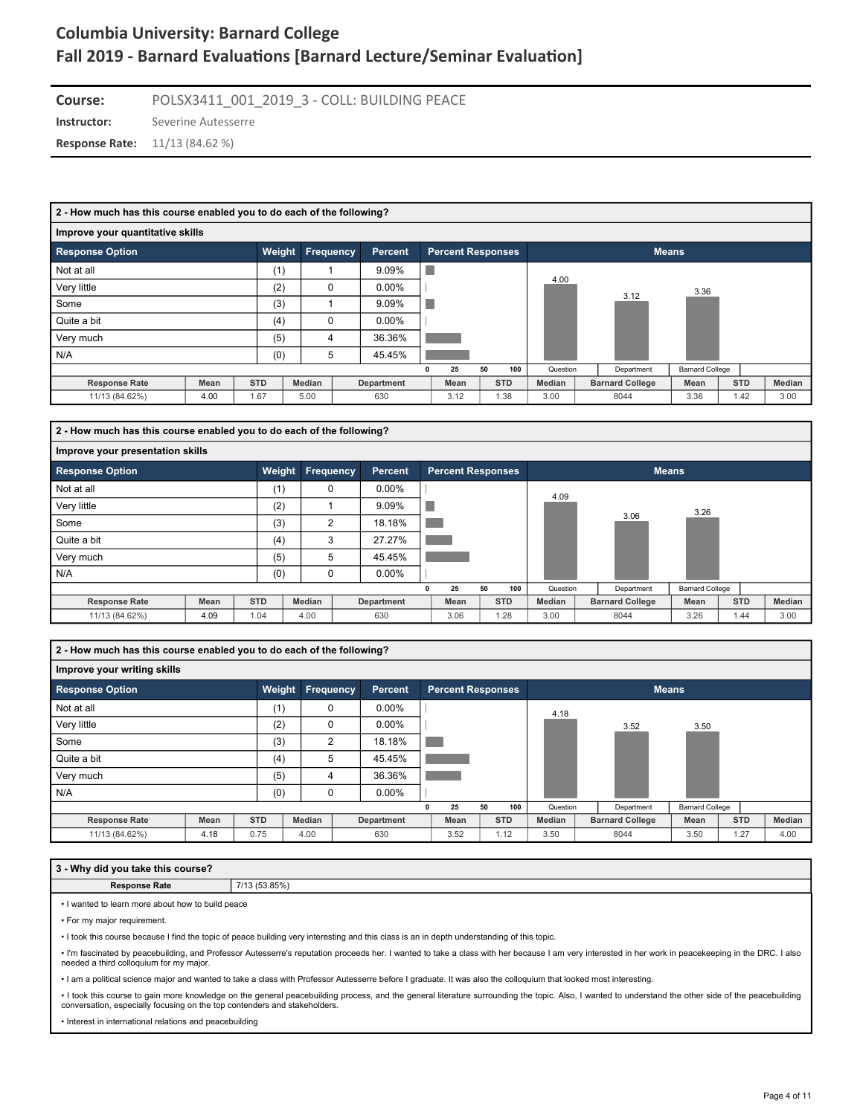**Course:** POLSX3411\_001\_2019\_3 - COLL: BUILDING PEACE

**Instructor:** Severine Autesserre

**Response Rate:** 11/13 (84.62 %)

| 2 - How much has this course enabled you to do each of the following? |      |            |                  |            |   |                          |    |            |          |                        |                        |            |        |
|-----------------------------------------------------------------------|------|------------|------------------|------------|---|--------------------------|----|------------|----------|------------------------|------------------------|------------|--------|
| Improve your quantitative skills                                      |      |            |                  |            |   |                          |    |            |          |                        |                        |            |        |
| <b>Response Option</b>                                                |      | Weight     | <b>Frequency</b> | Percent    |   | <b>Percent Responses</b> |    |            |          |                        | <b>Means</b>           |            |        |
| Not at all                                                            |      | (1)        |                  | 9.09%      | × |                          |    |            | 4.00     |                        |                        |            |        |
| Very little                                                           |      | (2)        | $\Omega$         | $0.00\%$   |   |                          |    |            |          |                        | 3.36                   |            |        |
| Some                                                                  |      | (3)        |                  | 9.09%      |   |                          |    |            |          | 3.12                   |                        |            |        |
| Quite a bit                                                           |      | (4)        | 0                | $0.00\%$   |   |                          |    |            |          |                        |                        |            |        |
| Very much                                                             |      | (5)        | 4                | 36.36%     |   |                          |    |            |          |                        |                        |            |        |
| N/A                                                                   |      | (0)        | 5                | 45.45%     |   |                          |    |            |          |                        |                        |            |        |
|                                                                       |      |            |                  |            |   | 25                       | 50 | 100        | Question | Department             | <b>Barnard College</b> |            |        |
| <b>Response Rate</b>                                                  | Mean | <b>STD</b> | Median           | Department |   | Mean                     |    | <b>STD</b> | Median   | <b>Barnard College</b> | Mean                   | <b>STD</b> | Median |
| 11/13 (84.62%)                                                        | 4.00 | 1.67       | 5.00             | 630        |   | 3.12                     |    | 1.38       | 3.00     | 8044                   | 3.36                   | 1.42       | 3.00   |
|                                                                       |      |            |                  |            |   |                          |    |            |          |                        |                        |            |        |

| 2 - How much has this course enabled you to do each of the following? |      |            |                  |            |   |                          |    |            |          |                        |                        |            |        |
|-----------------------------------------------------------------------|------|------------|------------------|------------|---|--------------------------|----|------------|----------|------------------------|------------------------|------------|--------|
| Improve your presentation skills                                      |      |            |                  |            |   |                          |    |            |          |                        |                        |            |        |
| <b>Response Option</b>                                                |      | Weight     | <b>Frequency</b> | Percent    |   | <b>Percent Responses</b> |    |            |          | <b>Means</b>           |                        |            |        |
| Not at all                                                            |      | (1)        | 0                | $0.00\%$   |   |                          |    |            | 4.09     |                        |                        |            |        |
| Very little                                                           |      | (2)        |                  | 9.09%      |   |                          |    |            |          |                        | 3.26                   |            |        |
| Some                                                                  |      | (3)        | 2                | 18.18%     |   |                          |    |            |          | 3.06                   |                        |            |        |
| Quite a bit                                                           |      | (4)        | 3                | 27.27%     |   |                          |    |            |          |                        |                        |            |        |
| Very much                                                             |      | (5)        | 5                | 45.45%     |   |                          |    |            |          |                        |                        |            |        |
| N/A                                                                   |      | (0)        | 0                | $0.00\%$   |   |                          |    |            |          |                        |                        |            |        |
|                                                                       |      |            |                  |            | 0 | 25                       | 50 | 100        | Question | Department             | <b>Barnard College</b> |            |        |
| <b>Response Rate</b>                                                  | Mean | <b>STD</b> | Median           | Department |   | Mean                     |    | <b>STD</b> | Median   | <b>Barnard College</b> | Mean                   | <b>STD</b> | Median |
| 11/13 (84.62%)                                                        | 4.09 | 1.04       | 4.00             | 630        |   | 3.06                     |    | 1.28       | 3.00     | 8044                   | 3.26                   | 1.44       | 3.00   |

**2 - How much has this course enabled you to do each of the following?**

#### **Improve your writing skills**

| <b>Response Option</b> |      | Weight     |        | <b>Frequency</b> | <b>Percent</b> |   | <b>Percent Responses</b> |    |            |               |                        | <b>Means</b>           |            |        |
|------------------------|------|------------|--------|------------------|----------------|---|--------------------------|----|------------|---------------|------------------------|------------------------|------------|--------|
| Not at all             |      | (1)        |        | 0                | $0.00\%$       |   |                          |    |            | 4.18          |                        |                        |            |        |
| Very little            |      | (2)        |        | 0                | $0.00\%$       |   |                          |    |            |               | 3.52                   | 3.50                   |            |        |
| Some                   |      | (3)        |        | $\overline{2}$   | 18.18%         |   |                          |    |            |               |                        |                        |            |        |
| Quite a bit            |      | (4)        |        | 5                | 45.45%         |   |                          |    |            |               |                        |                        |            |        |
| Very much              |      | (5)        |        | 4                | 36.36%         |   |                          |    |            |               |                        |                        |            |        |
| N/A                    |      | (0)        |        | 0                | $0.00\%$       |   |                          |    |            |               |                        |                        |            |        |
|                        |      |            |        |                  |                | 0 | 25                       | 50 | 100        | Question      | Department             | <b>Barnard College</b> |            |        |
| <b>Response Rate</b>   | Mean | <b>STD</b> | Median |                  | Department     |   | Mean                     |    | <b>STD</b> | <b>Median</b> | <b>Barnard College</b> | Mean                   | <b>STD</b> | Median |
| 11/13 (84.62%)         | 4.18 | 0.75       | 4.00   |                  | 630            |   | 3.52                     |    | 1.12       | 3.50          | 8044                   | 3.50                   | 1.27       | 4.00   |

#### **3 - Why did you take this course?**

**Response Rate** 7/13 (53.85%)

• I wanted to learn more about how to build peace

• For my major requirement.

• I took this course because I find the topic of peace building very interesting and this class is an in depth understanding of this topic.

• I'm fascinated by peacebuilding, and Professor Autesserre's reputation proceeds her. I wanted to take a class with her because I am very interested in her work in peacekeeping in the DRC. I also<br>needed a third colloquium

• I am a political science major and wanted to take a class with Professor Autesserre before I graduate. It was also the colloquium that looked most interesting.

• I took this course to gain more knowledge on the general peacebuilding process, and the general literature surrounding the topic. Also, I wanted to understand the other side of the peacebuilding conversation, especially focusing on the top contenders and stakeholders.

• Interest in international relations and peacebuilding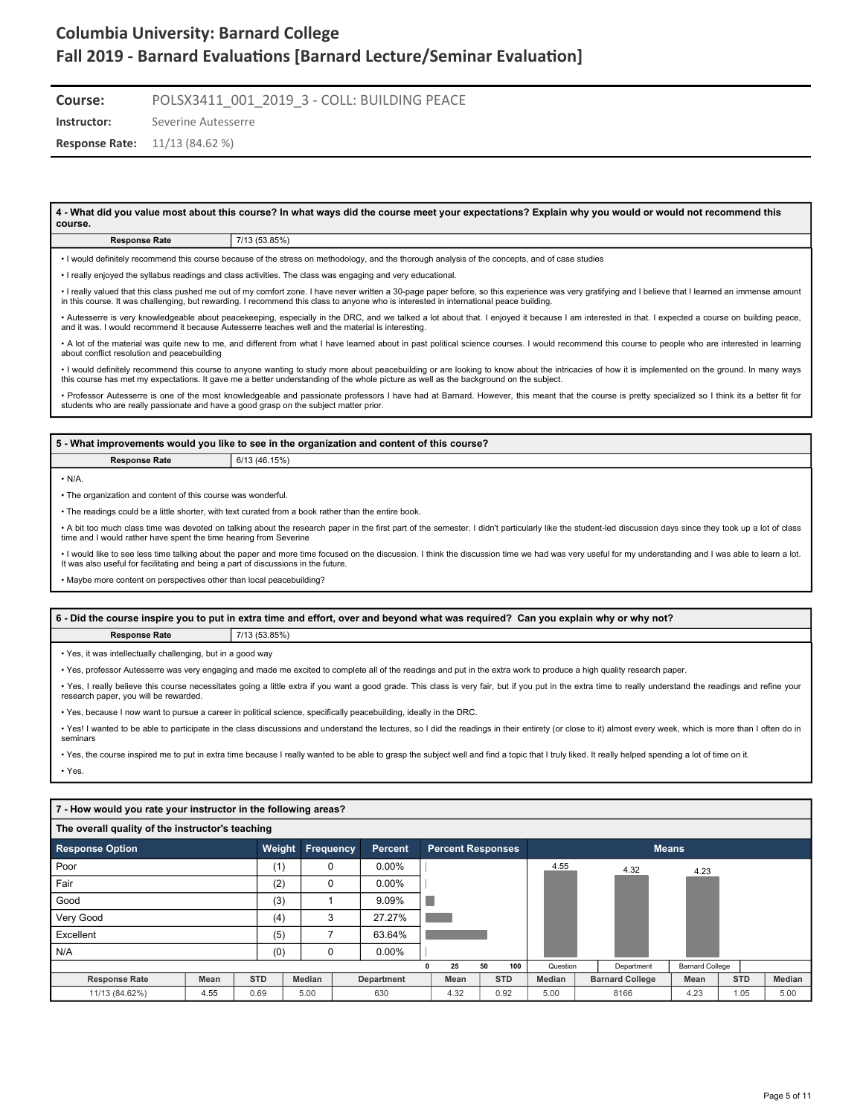**Course:** POLSX3411\_001\_2019\_3 - COLL: BUILDING PEACE

**Instructor:** Severine Autesserre

**Response Rate:** 11/13 (84.62 %)

**4 - What did you value most about this course? In what ways did the course meet your expectations? Explain why you would or would not recommend this course. Response Rate** 7/13 (53.85%)

| I would definitely recommend this course because of the stress on methodology, and the thorough analysis of the concepts, and of case studies |  |  |
|-----------------------------------------------------------------------------------------------------------------------------------------------|--|--|

• I really enjoyed the syllabus readings and class activities. The class was engaging and very educational.

• I really valued that this class pushed me out of my comfort zone. I have never written a 30-page paper before, so this experience was very gratifying and I believe that I learned an immense amount<br>in this course. It was

• Autesserre is very knowledgeable about peacekeeping, especially in the DRC, and we talked a lot about that. I enjoyed it because I am interested in that. I expected a course on building peace, and it was. I would recommend it because Autesserre teaches well and the material is interesting.

• A lot of the material was quite new to me, and different from what I have learned about in past political science courses. I would recommend this course to people who are interested in learning about conflict resolution and peacebuilding

• I would definitely recommend this course to anyone wanting to study more about peacebuilding or are looking to know about the intricacies of how it is implemented on the ground. In many ways this course has met my expectations. It gave me a better understanding of the whole picture as well as the background on the subject.

• Professor Autesserre is one of the most knowledgeable and passionate professors I have had at Barnard. However, this meant that the course is pretty specialized so I think its a better fit for students who are really passionate and have a good grasp on the subject matter prior.

#### **5 - What improvements would you like to see in the organization and content of this course?**

**Response Rate** 6/13 (46.15%)

 $\cdot$  N/A

• The organization and content of this course was wonderful.

• The readings could be a little shorter, with text curated from a book rather than the entire book.

• A bit too much class time was devoted on talking about the research paper in the first part of the semester. I didn't particularly like the student-led discussion days since they took up a lot of class time and I would rather have spent the time hearing from Severine

• I would like to see less time talking about the paper and more time focused on the discussion. I think the discussion time we had was very useful for my understanding and I was able to learn a lot. It was also useful for facilitating and being a part of discussions in the future.

• Maybe more content on perspectives other than local peacebuilding?

#### **6 - Did the course inspire you to put in extra time and effort, over and beyond what was required? Can you explain why or why not?**

**Response Rate** 7/13 (53.85%)

• Yes, it was intellectually challenging, but in a good way

• Yes, professor Autesserre was very engaging and made me excited to complete all of the readings and put in the extra work to produce a high quality research paper.

• Yes, I really believe this course necessitates going a little extra if you want a good grade. This class is very fair, but if you put in the extra time to really understand the readings and refine your research paper, you will be rewarded.

• Yes, because I now want to pursue a career in political science, specifically peacebuilding, ideally in the DRC.

• Yes! I wanted to be able to participate in the class discussions and understand the lectures, so I did the readings in their entirety (or close to it) almost every week, which is more than I often do in seminars

• Yes, the course inspired me to put in extra time because I really wanted to be able to grasp the subject well and find a topic that I truly liked. It really helped spending a lot of time on it. • Yes.

#### **7 - How would you rate your instructor in the following areas?**

| The overall quality of the instructor's teaching |      |            |        |           |                |                          |    |            |          |                        |                        |            |        |
|--------------------------------------------------|------|------------|--------|-----------|----------------|--------------------------|----|------------|----------|------------------------|------------------------|------------|--------|
| <b>Response Option</b>                           |      |            | Weight | Frequency | <b>Percent</b> | <b>Percent Responses</b> |    |            |          | <b>Means</b>           |                        |            |        |
| Poor                                             |      |            | (1)    | 0         | $0.00\%$       |                          |    |            | 4.55     | 4.32                   | 4.23                   |            |        |
| Fair                                             |      |            | (2)    | 0         | $0.00\%$       |                          |    |            |          |                        |                        |            |        |
| Good                                             |      |            | (3)    |           | 9.09%          |                          |    |            |          |                        |                        |            |        |
| Very Good                                        |      |            | (4)    | 3         | 27.27%         |                          |    |            |          |                        |                        |            |        |
| Excellent                                        |      |            | (5)    |           | 63.64%         |                          |    |            |          |                        |                        |            |        |
| N/A                                              |      |            | (0)    |           | $0.00\%$       |                          |    |            |          |                        |                        |            |        |
|                                                  |      |            |        |           |                | 25                       | 50 | 100        | Question | Department             | <b>Barnard College</b> |            |        |
| <b>Response Rate</b>                             | Mean | <b>STD</b> |        | Median    | Department     | Mean                     |    | <b>STD</b> | Median   | <b>Barnard College</b> | Mean                   | <b>STD</b> | Median |
| 11/13 (84.62%)                                   | 4.55 |            | 0.69   | 5.00      | 630            | 4.32                     |    | 0.92       | 5.00     | 8166                   | 4.23                   | 1.05       | 5.00   |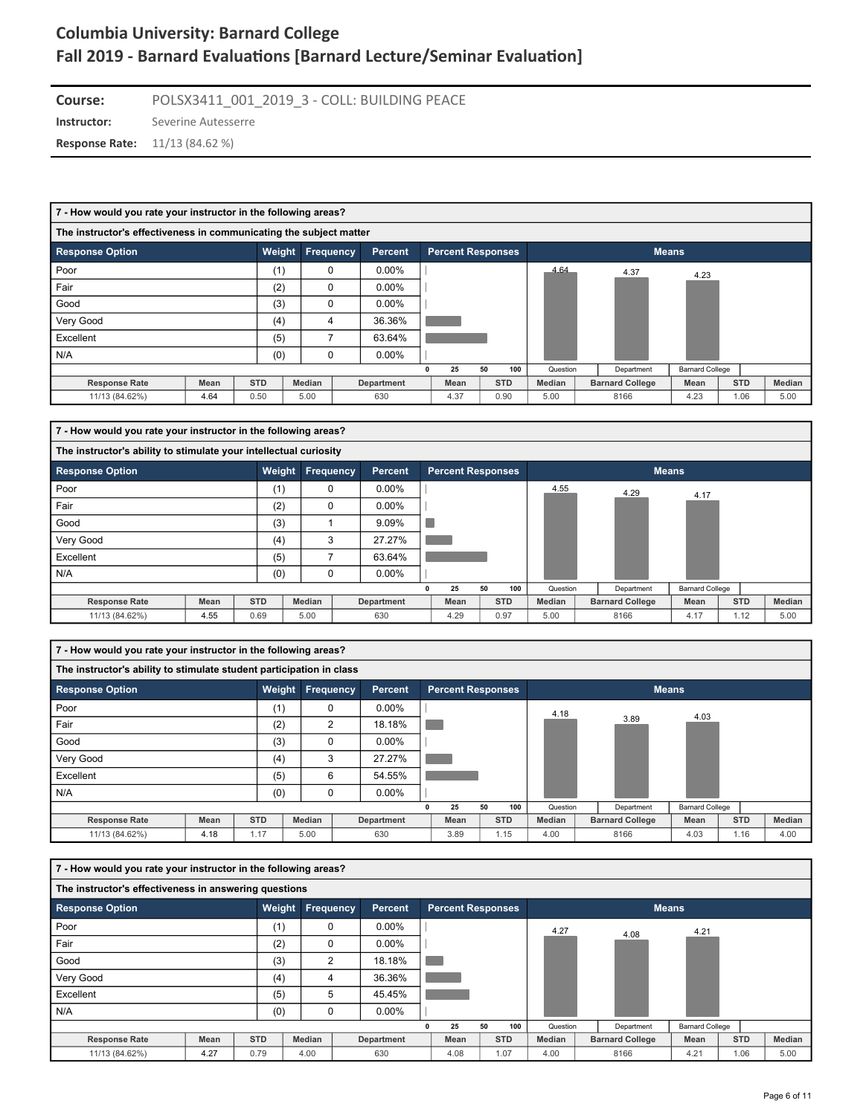**Instructor:** Severine Autesserre **Course:** POLSX3411\_001\_2019\_3 - COLL: BUILDING PEACE **Response Rate:** 11/13 (84.62 %)

| 7 - How would you rate your instructor in the following areas?     |      |            |                  |                   |                          |            |               |                        |                        |            |        |
|--------------------------------------------------------------------|------|------------|------------------|-------------------|--------------------------|------------|---------------|------------------------|------------------------|------------|--------|
| The instructor's effectiveness in communicating the subject matter |      |            |                  |                   |                          |            |               |                        |                        |            |        |
| <b>Response Option</b>                                             |      | Weight     | <b>Frequency</b> | Percent           | <b>Percent Responses</b> |            |               |                        | <b>Means</b>           |            |        |
| Poor                                                               |      | (1)        | 0                | $0.00\%$          |                          |            | 4.64          | 4.37                   | 4.23                   |            |        |
| Fair                                                               |      | (2)        | 0                | $0.00\%$          |                          |            |               |                        |                        |            |        |
| Good                                                               |      | (3)        | 0                | $0.00\%$          |                          |            |               |                        |                        |            |        |
| Very Good                                                          |      | (4)        | 4                | 36.36%            |                          |            |               |                        |                        |            |        |
| Excellent                                                          |      | (5)        | 7                | 63.64%            |                          |            |               |                        |                        |            |        |
| N/A                                                                |      | (0)        | 0                | $0.00\%$          |                          |            |               |                        |                        |            |        |
|                                                                    |      |            |                  |                   | 25                       | 50<br>100  | Question      | Department             | <b>Barnard College</b> |            |        |
| <b>Response Rate</b>                                               | Mean | <b>STD</b> | Median           | <b>Department</b> | Mean                     | <b>STD</b> | <b>Median</b> | <b>Barnard College</b> | Mean                   | <b>STD</b> | Median |
| 11/13 (84.62%)                                                     | 4.64 | 0.50       | 5.00             | 630               | 4.37                     | 0.90       | 5.00          | 8166                   | 4.23                   | 1.06       | 5.00   |

| 7 - How would you rate your instructor in the following areas?    |      |            |                  |            |   |                          |    |            |               |                        |                        |            |        |
|-------------------------------------------------------------------|------|------------|------------------|------------|---|--------------------------|----|------------|---------------|------------------------|------------------------|------------|--------|
| The instructor's ability to stimulate your intellectual curiosity |      |            |                  |            |   |                          |    |            |               |                        |                        |            |        |
| <b>Response Option</b>                                            |      |            | Weight Frequency | Percent    |   | <b>Percent Responses</b> |    |            |               |                        | <b>Means</b>           |            |        |
| Poor                                                              |      | (1)        | 0                | $0.00\%$   |   |                          |    |            | 4.55          | 4.29                   | 4.17                   |            |        |
| Fair                                                              |      | (2)        | $\Omega$         | $0.00\%$   |   |                          |    |            |               |                        |                        |            |        |
| Good                                                              |      | (3)        |                  | 9.09%      |   |                          |    |            |               |                        |                        |            |        |
| Very Good                                                         |      | (4)        | 3                | 27.27%     |   |                          |    |            |               |                        |                        |            |        |
| Excellent                                                         |      | (5)        |                  | 63.64%     |   |                          |    |            |               |                        |                        |            |        |
| N/A                                                               |      | (0)        | $\Omega$         | $0.00\%$   |   |                          |    |            |               |                        |                        |            |        |
|                                                                   |      |            |                  |            | 0 | 25                       | 50 | 100        | Question      | Department             | <b>Barnard College</b> |            |        |
| <b>Response Rate</b>                                              | Mean | <b>STD</b> | Median           | Department |   | Mean                     |    | <b>STD</b> | <b>Median</b> | <b>Barnard College</b> | Mean                   | <b>STD</b> | Median |
| 11/13 (84.62%)                                                    | 4.55 | 0.69       | 5.00             | 630        |   | 4.29                     |    | 0.97       | 5.00          | 8166                   | 4.17                   | 1.12       | 5.00   |

| 7 - How would you rate your instructor in the following areas?       |             |            |                  |                |   |                          |    |            |          |                        |                        |            |        |
|----------------------------------------------------------------------|-------------|------------|------------------|----------------|---|--------------------------|----|------------|----------|------------------------|------------------------|------------|--------|
| The instructor's ability to stimulate student participation in class |             |            |                  |                |   |                          |    |            |          |                        |                        |            |        |
| <b>Response Option</b>                                               |             | Weight     | <b>Frequency</b> | <b>Percent</b> |   | <b>Percent Responses</b> |    |            |          |                        | <b>Means</b>           |            |        |
| Poor                                                                 |             | (1)        | $\Omega$         | $0.00\%$       |   |                          |    |            | 4.18     |                        | 4.03                   |            |        |
| Fair                                                                 |             | (2)        | $\overline{2}$   | 18.18%         |   |                          |    |            |          | 3.89                   |                        |            |        |
| Good                                                                 |             | (3)        | $\Omega$         | $0.00\%$       |   |                          |    |            |          |                        |                        |            |        |
| Very Good                                                            |             | (4)        | 3                | 27.27%         |   |                          |    |            |          |                        |                        |            |        |
| Excellent                                                            |             | (5)        | 6                | 54.55%         |   |                          |    |            |          |                        |                        |            |        |
| N/A                                                                  |             | (0)        | 0                | $0.00\%$       |   |                          |    |            |          |                        |                        |            |        |
|                                                                      |             |            |                  |                | 0 | 25                       | 50 | 100        | Question | Department             | <b>Barnard College</b> |            |        |
| <b>Response Rate</b>                                                 | <b>Mean</b> | <b>STD</b> | Median           | Department     |   | Mean                     |    | <b>STD</b> | Median   | <b>Barnard College</b> | Mean                   | <b>STD</b> | Median |
| 11/13 (84.62%)                                                       | 4.18        | 1.17       | 5.00             | 630            |   | 3.89                     |    | 1.15       | 4.00     | 8166                   | 4.03                   | 1.16       | 4.00   |

| 7 - How would you rate your instructor in the following areas? |             |            |                  |                |                |                          |    |            |               |                        |                        |            |        |
|----------------------------------------------------------------|-------------|------------|------------------|----------------|----------------|--------------------------|----|------------|---------------|------------------------|------------------------|------------|--------|
| The instructor's effectiveness in answering questions          |             |            |                  |                |                |                          |    |            |               |                        |                        |            |        |
| <b>Response Option</b>                                         |             | Weight     | <b>Frequency</b> |                | <b>Percent</b> | <b>Percent Responses</b> |    |            |               |                        | <b>Means</b>           |            |        |
| Poor                                                           |             | (1)        |                  | $\mathbf 0$    | $0.00\%$       |                          |    |            | 4.27          | 4.08                   | 4.21                   |            |        |
| Fair                                                           |             | (2)        |                  | $\mathbf 0$    | $0.00\%$       |                          |    |            |               |                        |                        |            |        |
| Good                                                           |             | (3)        |                  | $\overline{2}$ | 18.18%         |                          |    |            |               |                        |                        |            |        |
| Very Good                                                      |             | (4)        |                  | 4              | 36.36%         |                          |    |            |               |                        |                        |            |        |
| Excellent                                                      |             | (5)        |                  | 5              | 45.45%         |                          |    |            |               |                        |                        |            |        |
| N/A                                                            |             | (0)        |                  | $\mathbf 0$    | $0.00\%$       |                          |    |            |               |                        |                        |            |        |
|                                                                |             |            |                  |                |                | 25                       | 50 | 100        | Question      | Department             | <b>Barnard College</b> |            |        |
| <b>Response Rate</b>                                           | <b>Mean</b> | <b>STD</b> | <b>Median</b>    |                | Department     | Mean                     |    | <b>STD</b> | <b>Median</b> | <b>Barnard College</b> | Mean                   | <b>STD</b> | Median |
| 11/13 (84.62%)                                                 | 4.27        | 0.79       | 4.00             |                | 630            | 4.08                     |    | 1.07       | 4.00          | 8166                   | 4.21                   | 1.06       | 5.00   |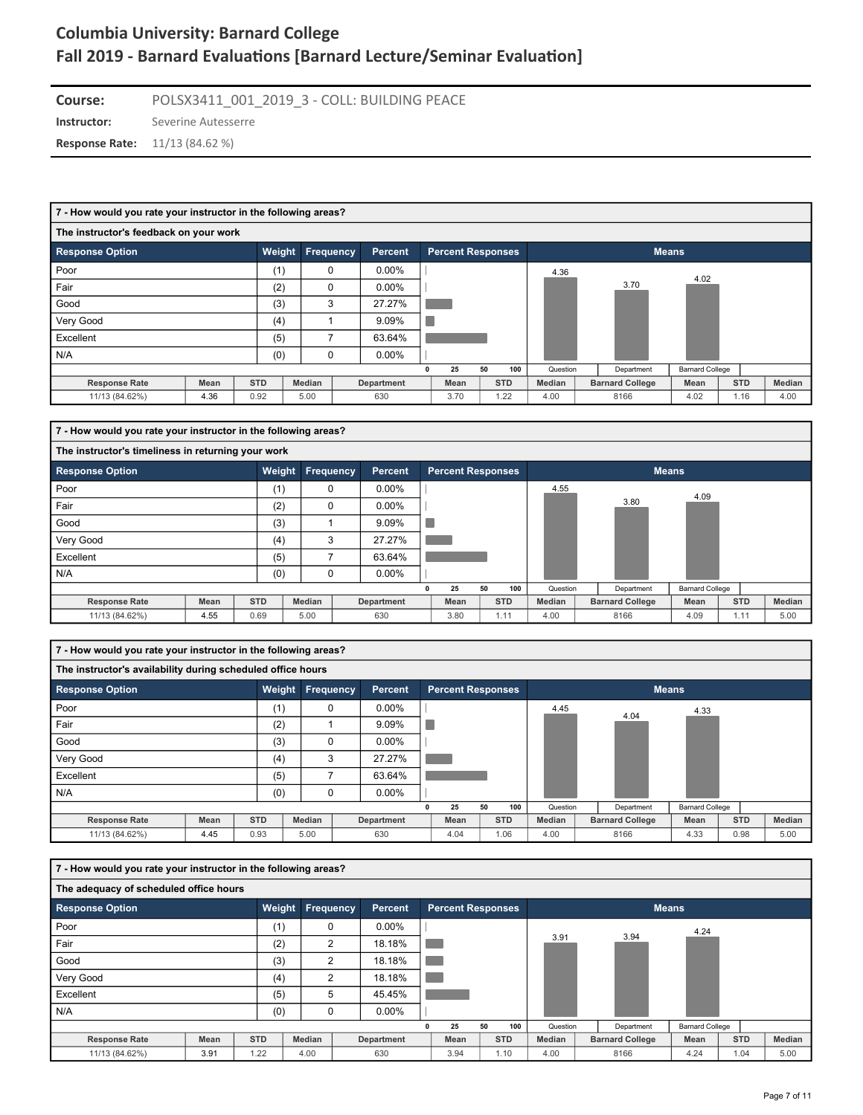**Instructor:** Severine Autesserre **Course:** POLSX3411\_001\_2019\_3 - COLL: BUILDING PEACE

**Response Rate:** 11/13 (84.62 %)

| 7 - How would you rate your instructor in the following areas? |             |            |                  |            |                          |    |            |          |                        |                        |            |        |
|----------------------------------------------------------------|-------------|------------|------------------|------------|--------------------------|----|------------|----------|------------------------|------------------------|------------|--------|
| The instructor's feedback on your work                         |             |            |                  |            |                          |    |            |          |                        |                        |            |        |
| <b>Response Option</b>                                         |             | Weight     | <b>Frequency</b> | Percent    | <b>Percent Responses</b> |    |            |          | <b>Means</b>           |                        |            |        |
| Poor                                                           |             | (1)        | $\mathbf 0$      | $0.00\%$   |                          |    |            | 4.36     |                        | 4.02                   |            |        |
| Fair                                                           |             | (2)        | $\Omega$         | $0.00\%$   |                          |    |            |          | 3.70                   |                        |            |        |
| Good                                                           |             | (3)        | 3                | 27.27%     |                          |    |            |          |                        |                        |            |        |
| Very Good                                                      |             | (4)        |                  | 9.09%      |                          |    |            |          |                        |                        |            |        |
| Excellent                                                      |             | (5)        | ⇁                | 63.64%     |                          |    |            |          |                        |                        |            |        |
| N/A                                                            |             | (0)        | $\mathbf 0$      | $0.00\%$   |                          |    |            |          |                        |                        |            |        |
|                                                                |             |            |                  |            | 25                       | 50 | 100        | Question | Department             | <b>Barnard College</b> |            |        |
| <b>Response Rate</b>                                           | <b>Mean</b> | <b>STD</b> | <b>Median</b>    | Department | Mean                     |    | <b>STD</b> | Median   | <b>Barnard College</b> | Mean                   | <b>STD</b> | Median |
| 11/13 (84.62%)                                                 | 4.36        | 0.92       | 5.00             | 630        | 3.70                     |    | 1.22       | 4.00     | 8166                   | 4.02                   | 1.16       | 4.00   |

| 7 - How would you rate your instructor in the following areas? |             |            |                         |            |                          |    |            |               |                        |                        |            |        |
|----------------------------------------------------------------|-------------|------------|-------------------------|------------|--------------------------|----|------------|---------------|------------------------|------------------------|------------|--------|
| The instructor's timeliness in returning your work             |             |            |                         |            |                          |    |            |               |                        |                        |            |        |
| <b>Response Option</b>                                         |             |            | <b>Weight Frequency</b> | Percent    | <b>Percent Responses</b> |    |            |               |                        | <b>Means</b>           |            |        |
| Poor                                                           |             | (1)        | 0                       | $0.00\%$   |                          |    |            | 4.55          |                        | 4.09                   |            |        |
| Fair                                                           |             | (2)        | 0                       | $0.00\%$   |                          |    |            |               | 3.80                   |                        |            |        |
| Good                                                           |             | (3)        |                         | 9.09%      |                          |    |            |               |                        |                        |            |        |
| Very Good                                                      |             | (4)        | 3                       | 27.27%     |                          |    |            |               |                        |                        |            |        |
| Excellent                                                      |             | (5)        |                         | 63.64%     |                          |    |            |               |                        |                        |            |        |
| N/A                                                            |             | (0)        | 0                       | $0.00\%$   |                          |    |            |               |                        |                        |            |        |
|                                                                |             |            |                         |            | 25                       | 50 | 100        | Question      | Department             | <b>Barnard College</b> |            |        |
| <b>Response Rate</b>                                           | <b>Mean</b> | <b>STD</b> | Median                  | Department | Mean                     |    | <b>STD</b> | <b>Median</b> | <b>Barnard College</b> | Mean                   | <b>STD</b> | Median |
| 11/13 (84.62%)                                                 | 4.55        | 0.69       | 5.00                    | 630        | 3.80                     |    | 1.11       | 4.00          | 8166                   | 4.09                   | 1.11       | 5.00   |

| 7 - How would you rate your instructor in the following areas? |             |            |                  |            |                          |    |            |          |                        |                        |            |        |
|----------------------------------------------------------------|-------------|------------|------------------|------------|--------------------------|----|------------|----------|------------------------|------------------------|------------|--------|
| The instructor's availability during scheduled office hours    |             |            |                  |            |                          |    |            |          |                        |                        |            |        |
| <b>Response Option</b>                                         |             |            | Weight Frequency | Percent    | <b>Percent Responses</b> |    |            |          |                        | <b>Means</b>           |            |        |
| Poor                                                           |             | (1)        | 0                | $0.00\%$   |                          |    |            | 4.45     | 4.04                   | 4.33                   |            |        |
| Fair                                                           |             | (2)        |                  | 9.09%      |                          |    |            |          |                        |                        |            |        |
| Good                                                           |             | (3)        | $\Omega$         | $0.00\%$   |                          |    |            |          |                        |                        |            |        |
| Very Good                                                      |             | (4)        | 3                | 27.27%     |                          |    |            |          |                        |                        |            |        |
| Excellent                                                      |             | (5)        |                  | 63.64%     |                          |    |            |          |                        |                        |            |        |
| N/A                                                            |             | (0)        | $\Omega$         | $0.00\%$   |                          |    |            |          |                        |                        |            |        |
|                                                                |             |            |                  |            | 25                       | 50 | 100        | Question | Department             | <b>Barnard College</b> |            |        |
| <b>Response Rate</b>                                           | <b>Mean</b> | <b>STD</b> | Median           | Department | Mean                     |    | <b>STD</b> | Median   | <b>Barnard College</b> | Mean                   | <b>STD</b> | Median |
| 11/13 (84.62%)                                                 | 4.45        | 0.93       | 5.00             | 630        | 4.04                     |    | 1.06       | 4.00     | 8166                   | 4.33                   | 0.98       | 5.00   |

| 7 - How would you rate your instructor in the following areas? |      |            |           |                |   |                          |    |            |          |                        |                        |            |        |
|----------------------------------------------------------------|------|------------|-----------|----------------|---|--------------------------|----|------------|----------|------------------------|------------------------|------------|--------|
| The adequacy of scheduled office hours                         |      |            |           |                |   |                          |    |            |          |                        |                        |            |        |
| <b>Response Option</b>                                         |      | Weight     | Frequency | <b>Percent</b> |   | <b>Percent Responses</b> |    |            |          |                        | <b>Means</b>           |            |        |
| Poor                                                           |      | (1)        | 0         | $0.00\%$       |   |                          |    |            |          |                        | 4.24                   |            |        |
| Fair                                                           |      | (2)        | 2         | 18.18%         |   |                          |    |            | 3.91     | 3.94                   |                        |            |        |
| Good                                                           |      | (3)        | 2         | 18.18%         |   |                          |    |            |          |                        |                        |            |        |
| Very Good                                                      |      | (4)        | 2         | 18.18%         |   |                          |    |            |          |                        |                        |            |        |
| Excellent                                                      |      | (5)        | 5         | 45.45%         |   |                          |    |            |          |                        |                        |            |        |
| N/A                                                            |      | (0)        | 0         | $0.00\%$       |   |                          |    |            |          |                        |                        |            |        |
|                                                                |      |            |           |                | 0 | 25                       | 50 | 100        | Question | Department             | <b>Barnard College</b> |            |        |
| <b>Response Rate</b>                                           | Mean | <b>STD</b> | Median    | Department     |   | Mean                     |    | <b>STD</b> | Median   | <b>Barnard College</b> | Mean                   | <b>STD</b> | Median |
| 11/13 (84.62%)                                                 | 3.91 | 1.22       | 4.00      | 630            |   | 3.94                     |    | 1.10       | 4.00     | 8166                   | 4.24                   | 1.04       | 5.00   |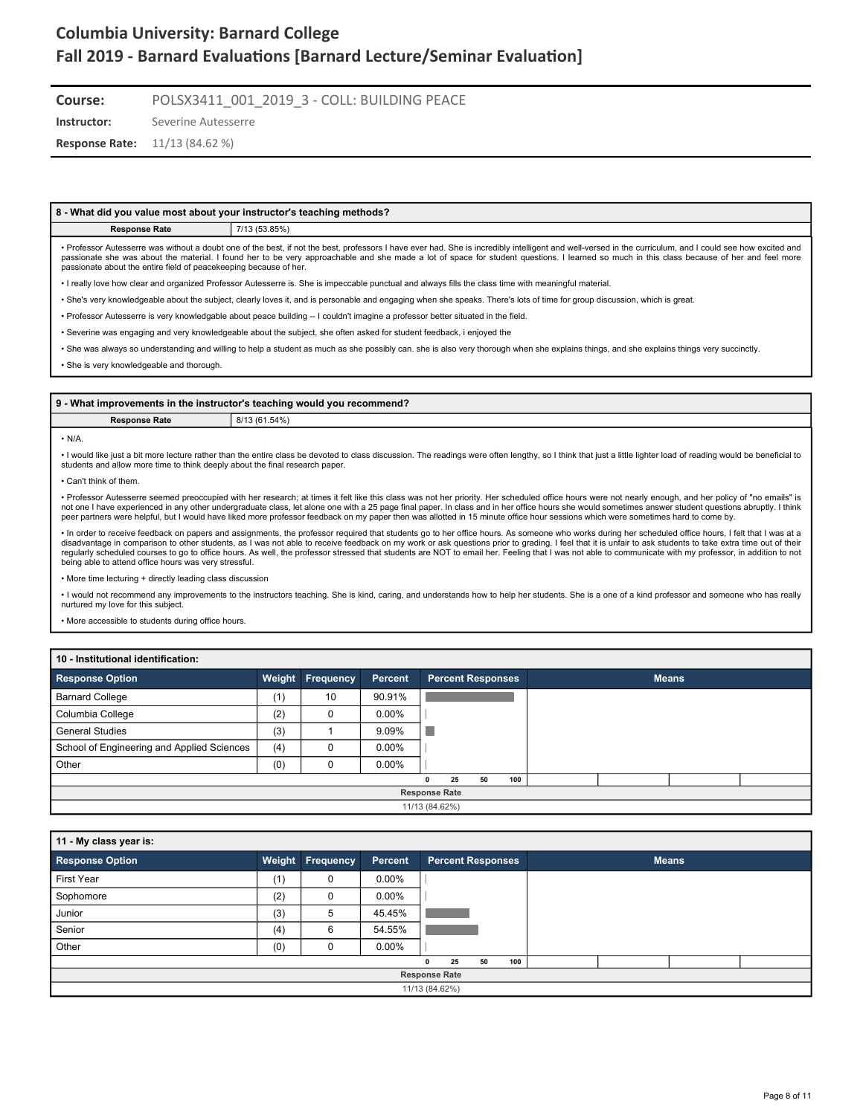**Course:** POLSX3411\_001\_2019\_3 - COLL: BUILDING PEACE

**Instructor:** Severine Autesserre

**Response Rate:** 11/13 (84.62 %)

#### **8 - What did you value most about your instructor's teaching methods?**

**Response Rate** 7/13 (53.85%)

• Professor Autesserre was without a doubt one of the best, if not the best, professors I have ever had. She is incredibly intelligent and well-versed in the curriculum, and I could see how excited and passionate she was about the material. I found her to be very approachable and she made a lot of space for student questions. I learned so much in this class because of her and feel more passionate about the entire field of peacekeeping because of her.

• I really love how clear and organized Professor Autesserre is. She is impeccable punctual and always fills the class time with meaningful material.

• She's very knowledgeable about the subject, clearly loves it, and is personable and engaging when she speaks. There's lots of time for group discussion, which is great.

• Professor Autesserre is very knowledgable about peace building -- I couldn't imagine a professor better situated in the field.

• Severine was engaging and very knowledgeable about the subject, she often asked for student feedback, i enjoyed the

• She was always so understanding and willing to help a student as much as she possibly can. she is also very thorough when she explains things, and she explains things very succinctly.

• She is very knowledgeable and thorough.

|               | 9 - What improvements in the instructor's teaching would you recommend? |
|---------------|-------------------------------------------------------------------------|
| Response Rate | 8/13 (61.54%)                                                           |

#### $\cdot$  N/A

• I would like just a bit more lecture rather than the entire class be devoted to class discussion. The readings were often lengthy, so I think that just a little lighter load of reading would be beneficial to students and allow more time to think deeply about the final research paper.

• Can't think of them.

• Professor Autesserre seemed preoccupied with her research; at times it felt like this class was not her priority. Her scheduled office hours were not nearly enough, and her policy of "no emails" is not one I have experienced in any other undergraduate class, let alone one with a 25 page final paper. In class and in her office hours she would sometimes answer student questions abruptly. I think<br>peer partners were help

• In order to receive feedback on papers and assignments, the professor required that students go to her office hours. As someone who works during her scheduled office hours, I felt that I was at a<br>disadvantage in comparis being able to attend office hours was very stressful.

• More time lecturing + directly leading class discussion

• I would not recommend any improvements to the instructors teaching. She is kind, caring, and understands how to help her students. She is a one of a kind professor and someone who has really nurtured my love for this subject.

• More accessible to students during office hours.

#### **10 - Institutional identification:**

| <b>Response Option</b>                     |     | <b>Weight Frequency</b> | Percent  |              | <b>Percent Responses</b> |    |     |  | <b>Means</b> |  |
|--------------------------------------------|-----|-------------------------|----------|--------------|--------------------------|----|-----|--|--------------|--|
| <b>Barnard College</b>                     | (1) | 10                      | 90.91%   |              |                          |    |     |  |              |  |
| Columbia College                           | (2) | υ                       | $0.00\%$ |              |                          |    |     |  |              |  |
| <b>General Studies</b>                     | (3) |                         | 9.09%    |              |                          |    |     |  |              |  |
| School of Engineering and Applied Sciences | (4) | 0                       | $0.00\%$ |              |                          |    |     |  |              |  |
| Other                                      | (0) |                         | $0.00\%$ |              |                          |    |     |  |              |  |
|                                            |     |                         |          | $\mathbf{0}$ | 25                       | 50 | 100 |  |              |  |
|                                            |     |                         |          |              | <b>Response Rate</b>     |    |     |  |              |  |
|                                            |     |                         |          |              | 11/13 (84.62%)           |    |     |  |              |  |

| 11 - My class year is: |     |                  |          |   |                          |    |     |  |              |  |
|------------------------|-----|------------------|----------|---|--------------------------|----|-----|--|--------------|--|
| <b>Response Option</b> |     | Weight Frequency | Percent  |   | <b>Percent Responses</b> |    |     |  | <b>Means</b> |  |
| First Year             | (1) | 0                | $0.00\%$ |   |                          |    |     |  |              |  |
| Sophomore              | (2) | $\Omega$         | $0.00\%$ |   |                          |    |     |  |              |  |
| Junior                 | (3) | 5                | 45.45%   |   |                          |    |     |  |              |  |
| Senior                 | (4) | 6                | 54.55%   |   |                          |    |     |  |              |  |
| Other                  | (0) | $\Omega$         | $0.00\%$ |   |                          |    |     |  |              |  |
|                        |     |                  |          | 0 | 25                       | 50 | 100 |  |              |  |
|                        |     |                  |          |   | <b>Response Rate</b>     |    |     |  |              |  |
|                        |     |                  |          |   | 11/13 (84.62%)           |    |     |  |              |  |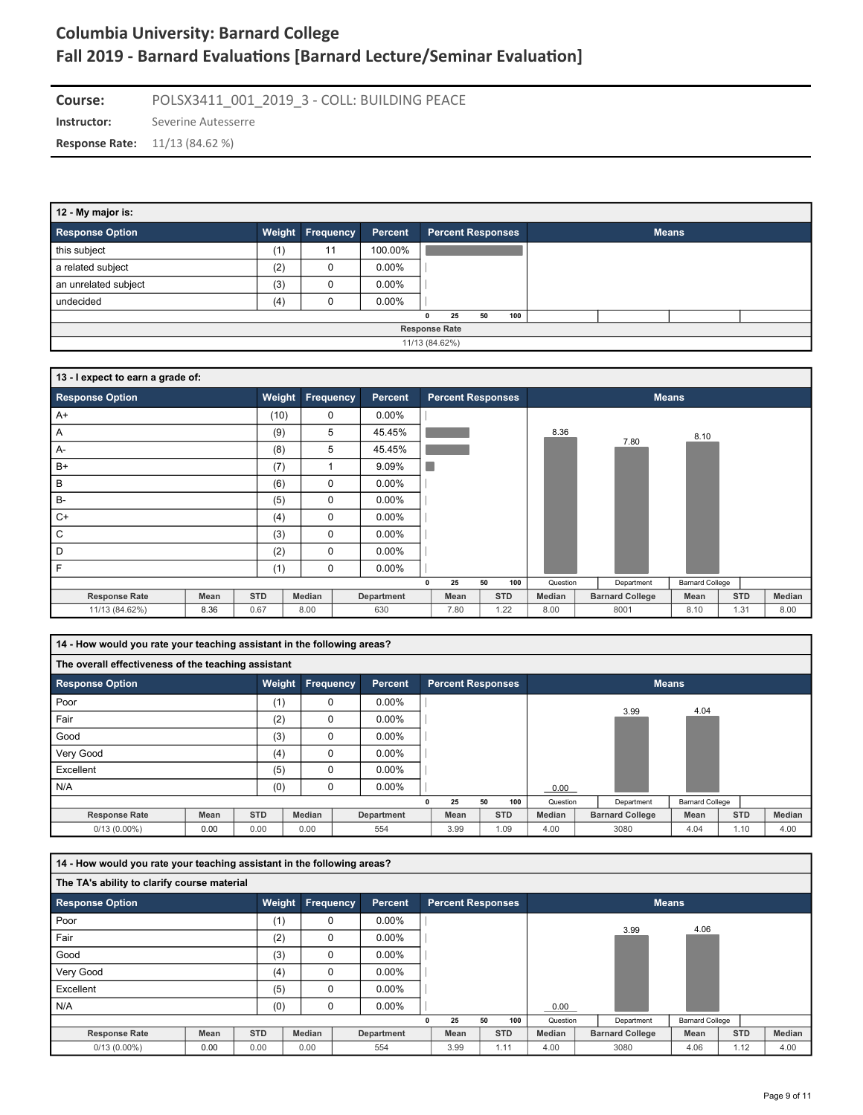**Instructor:** Severine Autesserre **Course:** POLSX3411\_001\_2019\_3 - COLL: BUILDING PEACE **Response Rate:** 11/13 (84.62 %)

| 12 - My major is:      |                |                         |          |                          |              |  |  |  |  |  |  |
|------------------------|----------------|-------------------------|----------|--------------------------|--------------|--|--|--|--|--|--|
| <b>Response Option</b> |                | <b>Weight Frequency</b> | Percent  | <b>Percent Responses</b> | <b>Means</b> |  |  |  |  |  |  |
| this subject           | (1)            | 11                      | 100.00%  |                          |              |  |  |  |  |  |  |
| a related subject      | (2)            | 0                       | $0.00\%$ |                          |              |  |  |  |  |  |  |
| an unrelated subject   | (3)            | 0                       | $0.00\%$ |                          |              |  |  |  |  |  |  |
| undecided              | (4)            |                         | $0.00\%$ |                          |              |  |  |  |  |  |  |
|                        |                |                         |          | 100<br>50<br>25          |              |  |  |  |  |  |  |
| <b>Response Rate</b>   |                |                         |          |                          |              |  |  |  |  |  |  |
|                        | 11/13 (84.62%) |                         |          |                          |              |  |  |  |  |  |  |

| 13 - I expect to earn a grade of: |      |            |                  |            |                          |            |          |                        |                        |            |        |
|-----------------------------------|------|------------|------------------|------------|--------------------------|------------|----------|------------------------|------------------------|------------|--------|
| <b>Response Option</b>            |      | Weight     | <b>Frequency</b> | Percent    | <b>Percent Responses</b> |            |          |                        | <b>Means</b>           |            |        |
| $A+$                              |      | (10)       | 0                | $0.00\%$   |                          |            |          |                        |                        |            |        |
| Α                                 |      | (9)        | 5                | 45.45%     |                          |            | 8.36     | 7.80                   | 8.10                   |            |        |
| $A-$                              |      | (8)        | 5                | 45.45%     |                          |            |          |                        |                        |            |        |
| $B+$                              |      | (7)        | ٠                | 9.09%      |                          |            |          |                        |                        |            |        |
| B                                 |      | (6)        | $\mathbf 0$      | $0.00\%$   |                          |            |          |                        |                        |            |        |
| $B -$                             |      | (5)        | $\mathbf 0$      | $0.00\%$   |                          |            |          |                        |                        |            |        |
| $C+$                              |      | (4)        | $\mathbf 0$      | $0.00\%$   |                          |            |          |                        |                        |            |        |
| С                                 |      | (3)        | $\mathbf 0$      | $0.00\%$   |                          |            |          |                        |                        |            |        |
| D                                 |      | (2)        | $\mathbf 0$      | $0.00\%$   |                          |            |          |                        |                        |            |        |
| F                                 |      | (1)        | $\mathbf 0$      | $0.00\%$   |                          |            |          |                        |                        |            |        |
|                                   |      |            |                  |            | 25<br>$\mathbf 0$        | 100<br>50  | Question | Department             | <b>Barnard College</b> |            |        |
| <b>Response Rate</b>              | Mean | <b>STD</b> | Median           | Department | Mean                     | <b>STD</b> | Median   | <b>Barnard College</b> | Mean                   | <b>STD</b> | Median |
| 11/13 (84.62%)                    | 8.36 | 0.67       | 8.00             | 630        | 7.80                     | 1.22       | 8.00     | 8001                   | 8.10                   | 1.31       | 8.00   |

| 14 - How would you rate your teaching assistant in the following areas? |                                                     |            |                  |  |                |  |                          |    |            |          |  |                        |                        |            |        |
|-------------------------------------------------------------------------|-----------------------------------------------------|------------|------------------|--|----------------|--|--------------------------|----|------------|----------|--|------------------------|------------------------|------------|--------|
|                                                                         | The overall effectiveness of the teaching assistant |            |                  |  |                |  |                          |    |            |          |  |                        |                        |            |        |
| <b>Response Option</b>                                                  |                                                     | Weight     | <b>Frequency</b> |  | <b>Percent</b> |  | <b>Percent Responses</b> |    |            |          |  |                        | <b>Means</b>           |            |        |
| Poor                                                                    |                                                     | (1)        | $\Omega$         |  | $0.00\%$       |  |                          |    |            |          |  | 3.99                   | 4.04                   |            |        |
| Fair                                                                    |                                                     | (2)        | $\Omega$         |  | $0.00\%$       |  |                          |    |            |          |  |                        |                        |            |        |
| Good                                                                    |                                                     | (3)        | 0                |  | 0.00%          |  |                          |    |            |          |  |                        |                        |            |        |
| Very Good                                                               |                                                     | (4)        | 0                |  | $0.00\%$       |  |                          |    |            |          |  |                        |                        |            |        |
| Excellent                                                               |                                                     | (5)        | $\Omega$         |  | $0.00\%$       |  |                          |    |            |          |  |                        |                        |            |        |
| N/A                                                                     |                                                     | (0)        | $\Omega$         |  | $0.00\%$       |  |                          |    |            | 0.00     |  |                        |                        |            |        |
|                                                                         |                                                     |            |                  |  |                |  | 25                       | 50 | 100        | Question |  | Department             | <b>Barnard College</b> |            |        |
| <b>Response Rate</b>                                                    | <b>Mean</b>                                         | <b>STD</b> | Median           |  | Department     |  | Mean                     |    | <b>STD</b> | Median   |  | <b>Barnard College</b> | Mean                   | <b>STD</b> | Median |
| $0/13(0.00\%)$                                                          | 0.00                                                | 0.00       | 0.00             |  | 554            |  | 3.99                     |    | 1.09       | 4.00     |  | 3080                   | 4.04                   | 1.10       | 4.00   |

| 14 - How would you rate your teaching assistant in the following areas? |             |            |                  |                |                          |    |            |          |                        |                        |            |        |
|-------------------------------------------------------------------------|-------------|------------|------------------|----------------|--------------------------|----|------------|----------|------------------------|------------------------|------------|--------|
| The TA's ability to clarify course material                             |             |            |                  |                |                          |    |            |          |                        |                        |            |        |
| <b>Response Option</b>                                                  |             | Weight     | <b>Frequency</b> | <b>Percent</b> | <b>Percent Responses</b> |    |            |          |                        | <b>Means</b>           |            |        |
| Poor                                                                    |             | (1)        | 0                | $0.00\%$       |                          |    |            |          | 3.99                   | 4.06                   |            |        |
| Fair                                                                    |             | (2)        | 0                | $0.00\%$       |                          |    |            |          |                        |                        |            |        |
| Good                                                                    |             | (3)        | 0                | $0.00\%$       |                          |    |            |          |                        |                        |            |        |
| Very Good                                                               |             | (4)        | $\Omega$         | $0.00\%$       |                          |    |            |          |                        |                        |            |        |
| Excellent                                                               |             | (5)        | $\mathbf 0$      | $0.00\%$       |                          |    |            |          |                        |                        |            |        |
| N/A                                                                     |             | (0)        | $\Omega$         | $0.00\%$       |                          |    |            | 0.00     |                        |                        |            |        |
|                                                                         |             |            |                  |                | 25                       | 50 | 100        | Question | Department             | <b>Barnard College</b> |            |        |
| <b>Response Rate</b>                                                    | <b>Mean</b> | <b>STD</b> | Median           | Department     | Mean                     |    | <b>STD</b> | Median   | <b>Barnard College</b> | Mean                   | <b>STD</b> | Median |
| $0/13(0.00\%)$                                                          | 0.00        | 0.00       | 0.00             | 554            | 3.99                     |    | 1.11       | 4.00     | 3080                   | 4.06                   | 1.12       | 4.00   |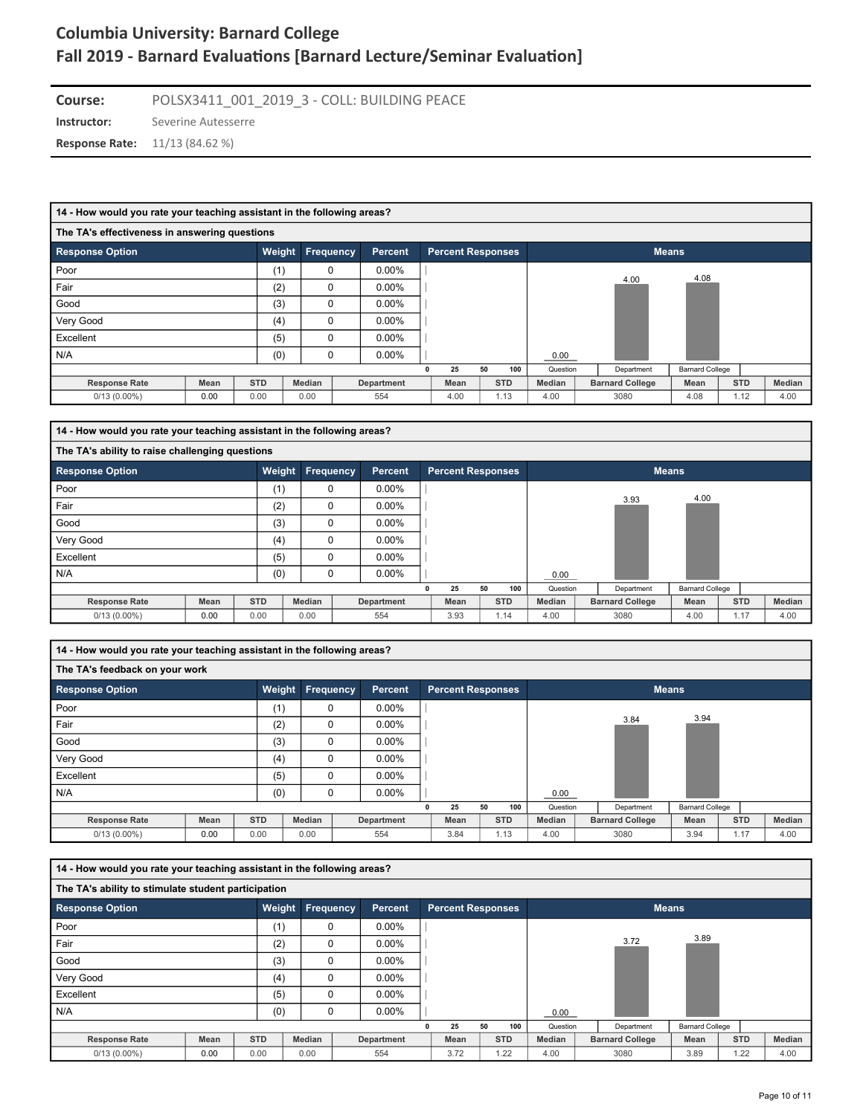**Instructor:** Severine Autesserre **Course:** POLSX3411\_001\_2019\_3 - COLL: BUILDING PEACE **Response Rate:** 11/13 (84.62 %)

#### **14 - How would you rate your teaching assistant in the following areas?**

| The TA's effectiveness in answering questions |      |            |           |                |                          |    |            |          |                        |                        |            |        |
|-----------------------------------------------|------|------------|-----------|----------------|--------------------------|----|------------|----------|------------------------|------------------------|------------|--------|
| <b>Response Option</b>                        |      | Weight     | Frequency | <b>Percent</b> | <b>Percent Responses</b> |    |            |          |                        | <b>Means</b>           |            |        |
| Poor                                          |      | (1)        | 0         | $0.00\%$       |                          |    |            |          | 4.00                   | 4.08                   |            |        |
| Fair                                          |      | (2)        | 0         | $0.00\%$       |                          |    |            |          |                        |                        |            |        |
| Good                                          |      | (3)        | 0         | $0.00\%$       |                          |    |            |          |                        |                        |            |        |
| Very Good                                     |      | (4)        | 0         | $0.00\%$       |                          |    |            |          |                        |                        |            |        |
| Excellent                                     |      | (5)        | $\Omega$  | $0.00\%$       |                          |    |            |          |                        |                        |            |        |
| N/A                                           |      | (0)        | 0         | $0.00\%$       |                          |    |            | 0.00     |                        |                        |            |        |
|                                               |      |            |           |                | 25                       | 50 | 100        | Question | Department             | <b>Barnard College</b> |            |        |
| <b>Response Rate</b>                          | Mean | <b>STD</b> | Median    | Department     | Mean                     |    | <b>STD</b> | Median   | <b>Barnard College</b> | Mean                   | <b>STD</b> | Median |
| $0/13(0.00\%)$                                | 0.00 | 0.00       | 0.00      | 554            | 4.00                     |    | 1.13       | 4.00     | 3080                   | 4.08                   | 1.12       | 4.00   |

| 14 - How would you rate your teaching assistant in the following areas? |                                                 |            |                         |  |            |  |                          |    |            |          |  |                        |                        |            |        |
|-------------------------------------------------------------------------|-------------------------------------------------|------------|-------------------------|--|------------|--|--------------------------|----|------------|----------|--|------------------------|------------------------|------------|--------|
|                                                                         | The TA's ability to raise challenging questions |            |                         |  |            |  |                          |    |            |          |  |                        |                        |            |        |
| <b>Response Option</b>                                                  |                                                 |            | <b>Weight Frequency</b> |  | Percent    |  | <b>Percent Responses</b> |    |            |          |  |                        | <b>Means</b>           |            |        |
| Poor                                                                    |                                                 | (1)        | 0                       |  | $0.00\%$   |  |                          |    |            |          |  |                        |                        |            |        |
| Fair                                                                    |                                                 | (2)        | 0                       |  | $0.00\%$   |  |                          |    |            |          |  | 3.93                   | 4.00                   |            |        |
| Good                                                                    |                                                 | (3)        | $\Omega$                |  | $0.00\%$   |  |                          |    |            |          |  |                        |                        |            |        |
| Very Good                                                               |                                                 | (4)        | 0                       |  | $0.00\%$   |  |                          |    |            |          |  |                        |                        |            |        |
| Excellent                                                               |                                                 | (5)        | 0                       |  | $0.00\%$   |  |                          |    |            |          |  |                        |                        |            |        |
| N/A                                                                     |                                                 | (0)        | $\Omega$                |  | $0.00\%$   |  |                          |    |            | 0.00     |  |                        |                        |            |        |
|                                                                         |                                                 |            |                         |  |            |  | 25                       | 50 | 100        | Question |  | Department             | <b>Barnard College</b> |            |        |
| <b>Response Rate</b>                                                    | <b>Mean</b>                                     | <b>STD</b> | Median                  |  | Department |  | Mean                     |    | <b>STD</b> | Median   |  | <b>Barnard College</b> | Mean                   | <b>STD</b> | Median |
| $0/13(0.00\%)$                                                          | 0.00                                            | 0.00       | 0.00                    |  | 554        |  | 3.93                     |    | 1.14       | 4.00     |  | 3080                   | 4.00                   | 1.17       | 4.00   |

**14 - How would you rate your teaching assistant in the following areas?**

| The TA's feedback on your work |             |               |                  |            |                          |    |            |          |                        |                        |            |        |
|--------------------------------|-------------|---------------|------------------|------------|--------------------------|----|------------|----------|------------------------|------------------------|------------|--------|
| <b>Response Option</b>         |             | <b>Weight</b> | <b>Frequency</b> | Percent    | <b>Percent Responses</b> |    |            |          |                        | <b>Means</b>           |            |        |
| Poor                           |             | (1)           | 0                | $0.00\%$   |                          |    |            |          |                        |                        |            |        |
| Fair                           |             | (2)           | $\mathbf 0$      | $0.00\%$   |                          |    |            |          | 3.84                   | 3.94                   |            |        |
| Good                           |             | (3)           | $\Omega$         | $0.00\%$   |                          |    |            |          |                        |                        |            |        |
| Very Good                      |             | (4)           | $\Omega$         | $0.00\%$   |                          |    |            |          |                        |                        |            |        |
| Excellent                      |             | (5)           | 0                | $0.00\%$   |                          |    |            |          |                        |                        |            |        |
| N/A                            |             | (0)           | $\Omega$         | $0.00\%$   |                          |    |            | 0.00     |                        |                        |            |        |
|                                |             |               |                  |            | 25                       | 50 | 100        | Question | Department             | <b>Barnard College</b> |            |        |
| <b>Response Rate</b>           | <b>Mean</b> | <b>STD</b>    | Median           | Department | Mean                     |    | <b>STD</b> | Median   | <b>Barnard College</b> | Mean                   | <b>STD</b> | Median |
| $0/13(0.00\%)$                 | 0.00        | 0.00          | 0.00             | 554        | 3.84                     |    | 1.13       | 4.00     | 3080                   | 3.94                   | 1.17       | 4.00   |

| 14 - How would you rate your teaching assistant in the following areas? |                                                     |            |                         |  |            |   |                          |    |            |               |  |                        |                        |            |        |
|-------------------------------------------------------------------------|-----------------------------------------------------|------------|-------------------------|--|------------|---|--------------------------|----|------------|---------------|--|------------------------|------------------------|------------|--------|
|                                                                         | The TA's ability to stimulate student participation |            |                         |  |            |   |                          |    |            |               |  |                        |                        |            |        |
| <b>Response Option</b>                                                  |                                                     |            | <b>Weight Frequency</b> |  | Percent    |   | <b>Percent Responses</b> |    |            |               |  |                        | <b>Means</b>           |            |        |
| Poor                                                                    |                                                     | (1)        | 0                       |  | $0.00\%$   |   |                          |    |            |               |  |                        |                        |            |        |
| Fair                                                                    |                                                     | (2)        | $\Omega$                |  | $0.00\%$   |   |                          |    |            |               |  | 3.72                   | 3.89                   |            |        |
| Good                                                                    |                                                     | (3)        | $\mathbf 0$             |  | $0.00\%$   |   |                          |    |            |               |  |                        |                        |            |        |
| Very Good                                                               |                                                     | (4)        | $\mathbf 0$             |  | $0.00\%$   |   |                          |    |            |               |  |                        |                        |            |        |
| Excellent                                                               |                                                     | (5)        | $\mathbf 0$             |  | $0.00\%$   |   |                          |    |            |               |  |                        |                        |            |        |
| N/A                                                                     |                                                     | (0)        | $\mathbf 0$             |  | $0.00\%$   |   |                          |    |            | 0.00          |  |                        |                        |            |        |
|                                                                         |                                                     |            |                         |  |            | 0 | 25                       | 50 | 100        | Question      |  | Department             | <b>Barnard College</b> |            |        |
| <b>Response Rate</b>                                                    | Mean                                                | <b>STD</b> | Median                  |  | Department |   | Mean                     |    | <b>STD</b> | <b>Median</b> |  | <b>Barnard College</b> | Mean                   | <b>STD</b> | Median |
| $0/13(0.00\%)$                                                          | 0.00                                                | 0.00       | 0.00                    |  | 554        |   | 3.72                     |    | 1.22       | 4.00          |  | 3080                   | 3.89                   | 1.22       | 4.00   |